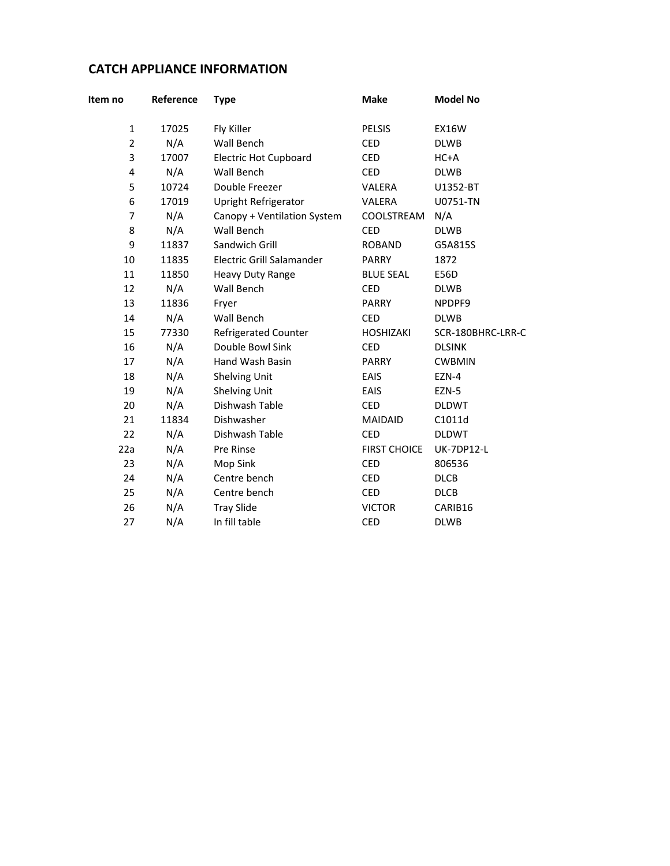## **CATCH APPLIANCE INFORMATION**

| Item no        | Reference | <b>Type</b>                  | <b>Make</b>         | <b>Model No</b>   |
|----------------|-----------|------------------------------|---------------------|-------------------|
| $\mathbf{1}$   | 17025     | Fly Killer                   | <b>PELSIS</b>       | <b>EX16W</b>      |
| $\overline{2}$ | N/A       | Wall Bench                   | <b>CED</b>          | <b>DLWB</b>       |
| 3              | 17007     | <b>Electric Hot Cupboard</b> | <b>CED</b>          | $HC+A$            |
| 4              | N/A       | Wall Bench                   | <b>CED</b>          | <b>DLWB</b>       |
| 5              | 10724     | Double Freezer               | VALERA              | U1352-BT          |
| 6              | 17019     | Upright Refrigerator         | VALERA              | U0751-TN          |
| $\overline{7}$ | N/A       | Canopy + Ventilation System  | COOLSTREAM          | N/A               |
| 8              | N/A       | Wall Bench                   | <b>CED</b>          | <b>DLWB</b>       |
| 9              | 11837     | Sandwich Grill               | <b>ROBAND</b>       | G5A815S           |
| 10             | 11835     | Electric Grill Salamander    | <b>PARRY</b>        | 1872              |
| 11             | 11850     | Heavy Duty Range             | <b>BLUE SEAL</b>    | E56D              |
| 12             | N/A       | Wall Bench                   | <b>CED</b>          | <b>DLWB</b>       |
| 13             | 11836     | Fryer                        | PARRY               | NPDPF9            |
| 14             | N/A       | Wall Bench                   | <b>CED</b>          | <b>DLWB</b>       |
| 15             | 77330     | <b>Refrigerated Counter</b>  | <b>HOSHIZAKI</b>    | SCR-180BHRC-LRR-C |
| 16             | N/A       | Double Bowl Sink             | <b>CED</b>          | <b>DLSINK</b>     |
| 17             | N/A       | Hand Wash Basin              | PARRY               | <b>CWBMIN</b>     |
| 18             | N/A       | Shelving Unit                | EAIS                | EZN-4             |
| 19             | N/A       | Shelving Unit                | <b>EAIS</b>         | EZN-5             |
| 20             | N/A       | Dishwash Table               | <b>CED</b>          | <b>DLDWT</b>      |
| 21             | 11834     | Dishwasher                   | <b>MAIDAID</b>      | C1011d            |
| 22             | N/A       | Dishwash Table               | <b>CED</b>          | <b>DLDWT</b>      |
| 22a            | N/A       | Pre Rinse                    | <b>FIRST CHOICE</b> | <b>UK-7DP12-L</b> |
| 23             | N/A       | Mop Sink                     | <b>CED</b>          | 806536            |
| 24             | N/A       | Centre bench                 | <b>CED</b>          | <b>DLCB</b>       |
| 25             | N/A       | Centre bench                 | <b>CED</b>          | <b>DLCB</b>       |
| 26             | N/A       | <b>Tray Slide</b>            | <b>VICTOR</b>       | CARIB16           |
| 27             | N/A       | In fill table                | <b>CED</b>          | <b>DLWB</b>       |